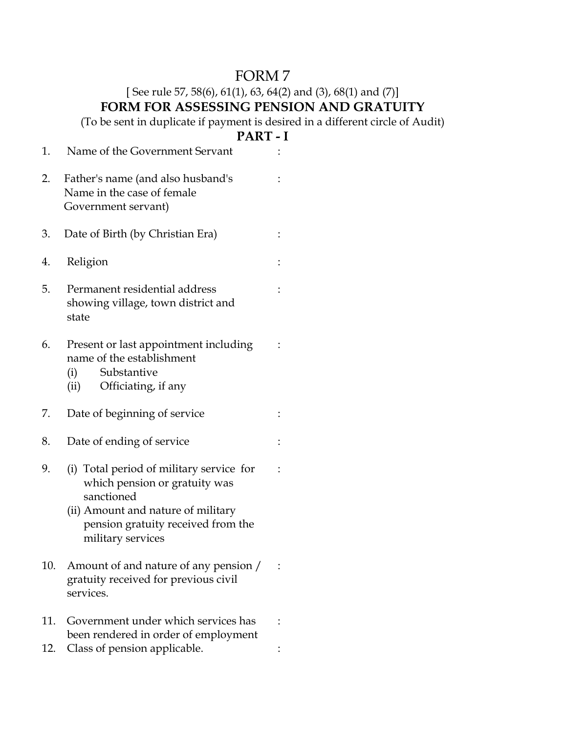## FORM 7

## [See rule 57, 58(6), 61(1), 63, 64(2) and (3), 68(1) and (7)] **FORM FOR ASSESSING PENSION AND GRATUITY**

(To be sent in duplicate if payment is desired in a different circle of Audit)

## **PART - I**

| 1.  | Name of the Government Servant                                                                                                                                                           |  |
|-----|------------------------------------------------------------------------------------------------------------------------------------------------------------------------------------------|--|
| 2.  | Father's name (and also husband's<br>Name in the case of female<br>Government servant)                                                                                                   |  |
| 3.  | Date of Birth (by Christian Era)                                                                                                                                                         |  |
| 4.  | Religion                                                                                                                                                                                 |  |
| 5.  | Permanent residential address<br>showing village, town district and<br>state                                                                                                             |  |
| 6.  | Present or last appointment including<br>name of the establishment<br>Substantive<br>(i)<br>Officiating, if any<br>(ii)                                                                  |  |
| 7.  | Date of beginning of service                                                                                                                                                             |  |
| 8.  | Date of ending of service                                                                                                                                                                |  |
| 9.  | (i) Total period of military service for<br>which pension or gratuity was<br>sanctioned<br>(ii) Amount and nature of military<br>pension gratuity received from the<br>military services |  |
| 10. | Amount of and nature of any pension /<br>gratuity received for previous civil<br>services.                                                                                               |  |
| 11. | Government under which services has<br>been rendered in order of employment                                                                                                              |  |
| 12. | Class of pension applicable.                                                                                                                                                             |  |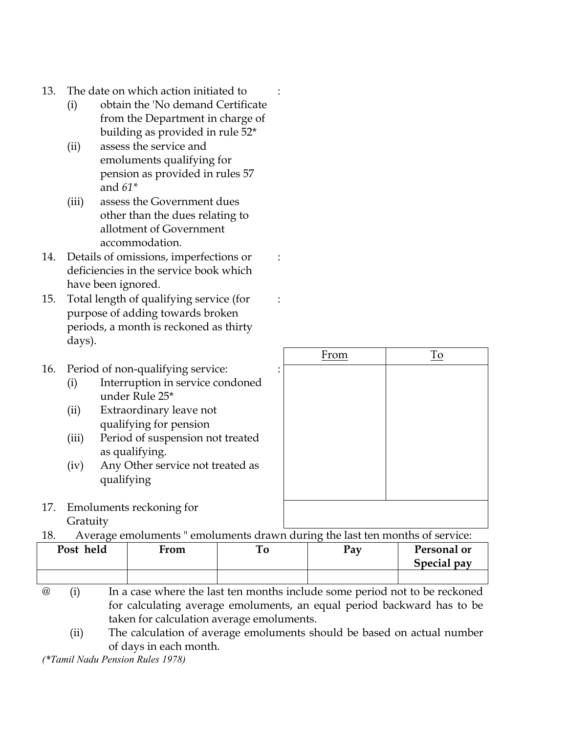- 13. The date on which action initiated to
	- (i) obtain the 'No demand Certificate from the Department in charge of building as provided in rule 52\*
	- (ii) assess the service and emoluments qualifying for pension as provided in rules 57 and *61\**
	- (iii) assess the Government dues other than the dues relating to allotment of Government accommodation.
- 14. Details of omissions, imperfections or deficiencies in the service book which have been ignored.
- 15. Total length of qualifying service (for purpose of adding towards broken periods, a month is reckoned as thirty days).

## 16. Period of non-qualifying service:

- (i) Interruption in service condoned under Rule 25\*
- (ii) Extraordinary leave not qualifying for pension
- (iii) Period of suspension not treated as qualifying.
- (iv) Any Other service not treated as qualifying
- 17. Emoluments reckoning for Gratuity

From To

18. Average emoluments " emoluments drawn during the last ten months of service:

| Post held | From | . 0 | Pay | Personal or<br>Special pay |
|-----------|------|-----|-----|----------------------------|
|           |      |     |     |                            |

:

:

:

:

- @ (i) In a case where the last ten months include some period not to be reckoned for calculating average emoluments, an equal period backward has to be taken for calculation average emoluments.
	- (ii) The calculation of average emoluments should be based on actual number of days in each month.

*(\*Tamil Nadu Pension Rules 1978)*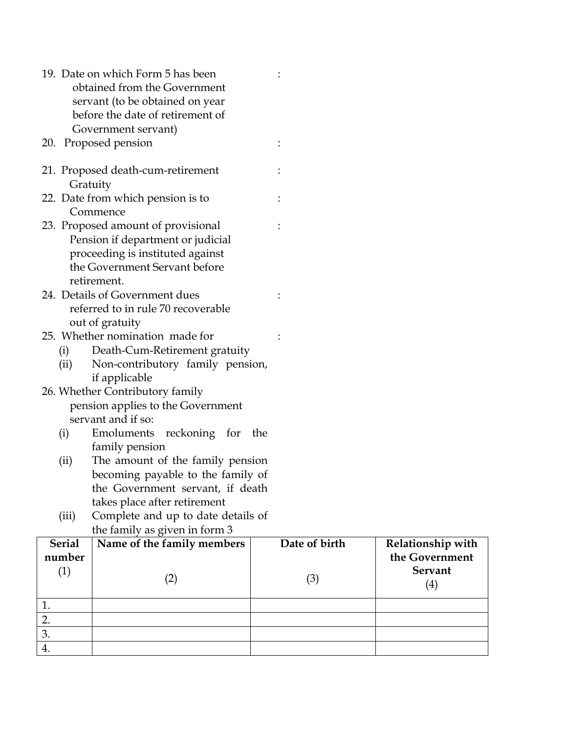|               | 19. Date on which Form 5 has been<br>obtained from the Government     |               |                   |
|---------------|-----------------------------------------------------------------------|---------------|-------------------|
|               | servant (to be obtained on year                                       |               |                   |
|               | before the date of retirement of                                      |               |                   |
|               | Government servant)                                                   |               |                   |
|               | 20. Proposed pension                                                  |               |                   |
|               | 21. Proposed death-cum-retirement                                     |               |                   |
| Gratuity      |                                                                       |               |                   |
|               | 22. Date from which pension is to<br>Commence                         |               |                   |
|               | 23. Proposed amount of provisional                                    |               |                   |
|               | Pension if department or judicial                                     |               |                   |
|               | proceeding is instituted against                                      |               |                   |
|               | the Government Servant before                                         |               |                   |
|               | retirement.                                                           |               |                   |
|               | 24. Details of Government dues                                        |               |                   |
|               | referred to in rule 70 recoverable                                    |               |                   |
|               | out of gratuity                                                       |               |                   |
|               | 25. Whether nomination made for                                       |               |                   |
| (i)           | Death-Cum-Retirement gratuity                                         |               |                   |
| (ii)          | Non-contributory family pension,                                      |               |                   |
|               | if applicable                                                         |               |                   |
|               | 26. Whether Contributory family                                       |               |                   |
|               | pension applies to the Government                                     |               |                   |
|               | servant and if so:                                                    |               |                   |
| (i)           | Emoluments reckoning for                                              | the           |                   |
|               | family pension                                                        |               |                   |
| (ii)          | The amount of the family pension<br>becoming payable to the family of |               |                   |
|               | the Government servant, if death                                      |               |                   |
|               | takes place after retirement                                          |               |                   |
| (iii)         | Complete and up to date details of                                    |               |                   |
|               | the family as given in form 3                                         |               |                   |
| <b>Serial</b> | Name of the family members                                            | Date of birth | Relationship with |
| number        |                                                                       |               | the Government    |
| (1)           |                                                                       |               | Servant           |
|               | (2)                                                                   | (3)           | (4)               |
| 1.            |                                                                       |               |                   |
| 2.            |                                                                       |               |                   |
| 3.            |                                                                       |               |                   |

4.